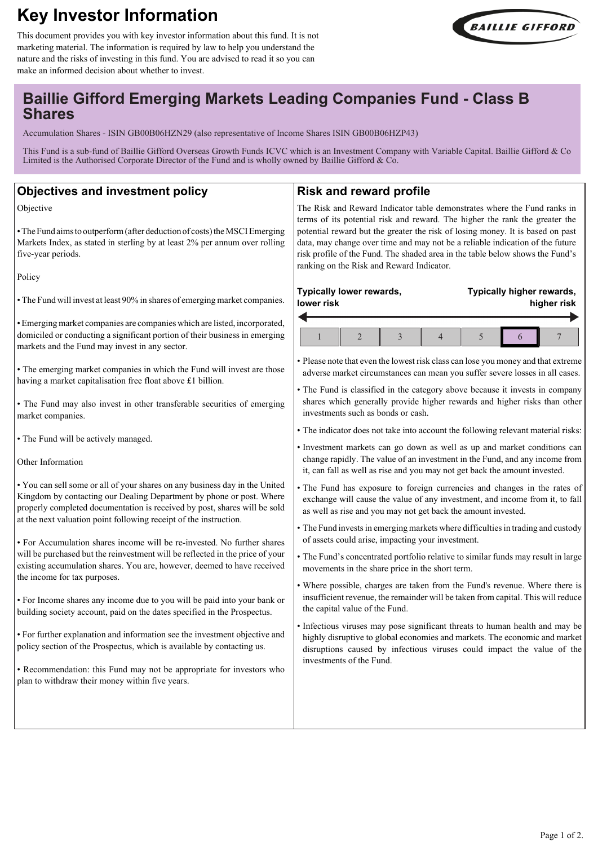# **Key Investor Information**





## **Baillie Gifford Emerging Markets Leading Companies Fund - Class B Shares**

Accumulation Shares - ISIN GB00B06HZN29 (also representative of Income Shares ISIN GB00B06HZP43)

This Fund is a sub-fund of Baillie Gifford Overseas Growth Funds ICVC which is an Investment Company with Variable Capital. Baillie Gifford & Co Limited is the Authorised Corporate Director of the Fund and is wholly owned by Baillie Gifford &  $C_0$ .

#### **Objectives and investment policy**

Objective

• The Fund aims to outperform (after deduction of costs) the MSCI Emerging Markets Index, as stated in sterling by at least 2% per annum over rolling five-year periods.

Policy

• The Fund will invest at least 90% in shares of emerging market companies.

• Emerging market companies are companies which are listed, incorporated, domiciled or conducting a significant portion of their business in emerging markets and the Fund may invest in any sector.

• The emerging market companies in which the Fund will invest are thos having a market capitalisation free float above £1 billion.

• The Fund may also invest in other transferable securities of emerging market companies.

• The Fund will be actively managed.

Other Information

• You can sell some or all of your shares on any business day in the United Kingdom by contacting our Dealing Department by phone or post. Where properly completed documentation is received by post, shares will be sold at the next valuation point following receipt of the instruction.

• For Accumulation shares income will be re-invested. No further shares will be purchased but the reinvestment will be reflected in the price of your existing accumulation shares. You are, however, deemed to have received the income for tax purposes.

• For Income shares any income due to you will be paid into your bank or building society account, paid on the dates specified in the Prospectus.

• For further explanation and information see the investment objective and policy section of the Prospectus, which is available by contacting us.

• Recommendation: this Fund may not be appropriate for investors who plan to withdraw their money within five years.

#### **Risk and reward profile**

The Risk and Reward Indicator table demonstrates where the Fund ranks in terms of its potential risk and reward. The higher the rank the greater the potential reward but the greater the risk of losing money. It is based on past data, may change over time and may not be a reliable indication of the future risk profile of the Fund. The shaded area in the table below shows the Fund's ranking on the Risk and Reward Indicator.

| Typically lower rewards,<br>lower risk                                                                                                                 |                                    |                          |                | Typically higher rewards,<br>higher risk                                     |   |  |  |
|--------------------------------------------------------------------------------------------------------------------------------------------------------|------------------------------------|--------------------------|----------------|------------------------------------------------------------------------------|---|--|--|
|                                                                                                                                                        | $\mathfrak{D}$                     | $\overline{\mathcal{E}}$ | $\overline{4}$ | $\overline{5}$                                                               | 6 |  |  |
| • Please note that even the lowest risk class can lose you money and that extreme                                                                      |                                    |                          |                | adverse market circumstances can mean you suffer severe losses in all cases. |   |  |  |
| • The Fund is classified in the category above because it invests in company                                                                           | investments such as bonds or cash. |                          |                | shares which generally provide higher rewards and higher risks than other    |   |  |  |
| • The indicator does not take into account the following relevant material risks:                                                                      |                                    |                          |                |                                                                              |   |  |  |
| • Investment markets can go down as well as up and market conditions can<br>it, can fall as well as rise and you may not get back the amount invested. |                                    |                          |                | change rapidly. The value of an investment in the Fund, and any income from  |   |  |  |
| • The Fund has exposure to foreign currencies and changes in the rates of                                                                              |                                    |                          |                | m and complete and complete                                                  |   |  |  |

exchange will cause the value of any investment, and income from it, to fall as well as rise and you may not get back the amount invested.

• The Fund invests in emerging markets where difficulties in trading and custody of assets could arise, impacting your investment.

• The Fund's concentrated portfolio relative to similar funds may result in large movements in the share price in the short term.

• Where possible, charges are taken from the Fund's revenue. Where there is insufficient revenue, the remainder will be taken from capital. This will reduce the capital value of the Fund.

• Infectious viruses may pose significant threats to human health and may be highly disruptive to global economies and markets. The economic and market disruptions caused by infectious viruses could impact the value of the investments of the Fund.